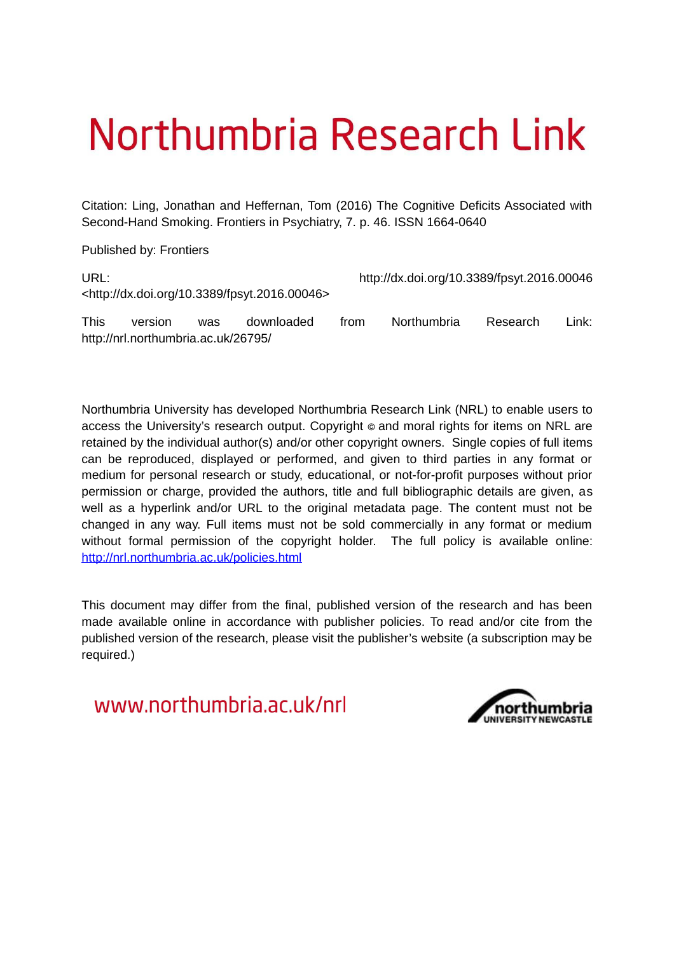# Northumbria Research Link

Citation: Ling, Jonathan and Heffernan, Tom (2016) The Cognitive Deficits Associated with Second-Hand Smoking. Frontiers in Psychiatry, 7. p. 46. ISSN 1664-0640

Published by: Frontiers

http://nrl.northumbria.ac.uk/26795/

| URL: |         |     |                                                              |      | http://dx.doi.org/10.3389/fpsyt.2016.00046 |          |        |  |
|------|---------|-----|--------------------------------------------------------------|------|--------------------------------------------|----------|--------|--|
|      |         |     | <http: 10.3389="" dx.doi.org="" fpsyt.2016.00046=""></http:> |      |                                            |          |        |  |
| This | version | was | downloaded                                                   | trom | Northumbria                                | Research | ∵ink:∶ |  |

Northumbria University has developed Northumbria Research Link (NRL) to enable users to access the University's research output. Copyright  $\circ$  and moral rights for items on NRL are retained by the individual author(s) and/or other copyright owners. Single copies of full items can be reproduced, displayed or performed, and given to third parties in any format or medium for personal research or study, educational, or not-for-profit purposes without prior permission or charge, provided the authors, title and full bibliographic details are given, as well as a hyperlink and/or URL to the original metadata page. The content must not be changed in any way. Full items must not be sold commercially in any format or medium without formal permission of the copyright holder. The full policy is available online: <http://nrl.northumbria.ac.uk/policies.html>

This document may differ from the final, published version of the research and has been made available online in accordance with publisher policies. To read and/or cite from the published version of the research, please visit the publisher's website (a subscription may be required.)

www.northumbria.ac.uk/nrl

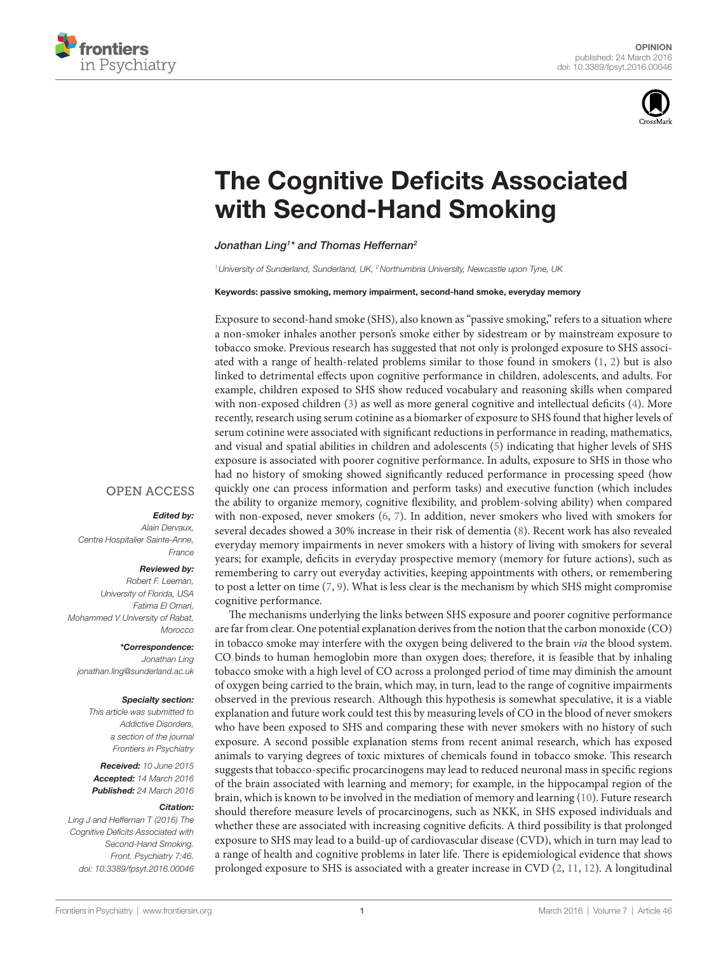



# **The Cognitive Deficits Associated** [with Second-Hand Smoking](http://www.frontiersin.org/Journal/10.3389/fpsyt.2016.00046/abstract)

[Jonathan Ling](http://loop.frontiersin.org/people/244145/overview)<sup>1</sup>\* and [Thomas Heffernan](http://loop.frontiersin.org/people/100798/overview)<del>°</del>

1 University of Sunderland, Sunderland, UK, <sup>2</sup> Northumbria University, Newcastle upon Tyne, UK

Keywords: passive smoking, memory impairment, second-hand smoke, everyday memory

<span id="page-1-8"></span><span id="page-1-7"></span>Exposure to second-hand smoke (SHS), also known as "passive smoking," refers to a situation where a non-smoker inhales another person's smoke either by sidestream or by mainstream exposure to tobacco smoke. Previous research has suggested that not only is prolonged exposure to SHS associated with a range of health-related problems similar to those found in smokers ([1](#page-1-0), [2\)](#page-1-1) but is also linked to detrimental efects upon cognitive performance in children, adolescents, and adults. For example, children exposed to SHS show reduced vocabulary and reasoning skills when compared with non-exposed children ([3](#page-1-2)) as well as more general cognitive and intellectual deficits [\(4\)](#page-1-3). More recently, research using serum cotinine as a biomarker of exposure to SHS found that higher levels of serum cotinine were associated with significant reductions in performance in reading, mathematics, and visual and spatial abilities in children and adolescents [\(5\)](#page-1-4) indicating that higher levels of SHS exposure is associated with poorer cognitive performance. In adults, exposure to SHS in those who had no history of smoking showed signiicantly reduced performance in processing speed (how quickly one can process information and perform tasks) and executive function (which includes the ability to organize memory, cognitive lexibility, and problem-solving ability) when compared with non-exposed, never smokers ([6](#page-1-5), [7](#page-1-6)). In addition, never smokers who lived with smokers for several decades showed a 30% increase in their risk of dementia ([8](#page-1-7)). Recent work has also revealed everyday memory impairments in never smokers with a history of living with smokers for several years; for example, deficits in everyday prospective memory (memory for future actions), such as remembering to carry out everyday activities, keeping appointments with others, or remembering to post a letter on time  $(7, 9)$  $(7, 9)$  $(7, 9)$  $(7, 9)$  $(7, 9)$ . What is less clear is the mechanism by which SHS might compromise cognitive performance.

<span id="page-1-11"></span><span id="page-1-10"></span><span id="page-1-9"></span>The mechanisms underlying the links between SHS exposure and poorer cognitive performance are far from clear. One potential explanation derives from the notion that the carbon monoxide (CO) in tobacco smoke may interfere with the oxygen being delivered to the brain via the blood system. CO binds to human hemoglobin more than oxygen does; therefore, it is feasible that by inhaling tobacco smoke with a high level of CO across a prolonged period of time may diminish the amount of oxygen being carried to the brain, which may, in turn, lead to the range of cognitive impairments observed in the previous research. Although this hypothesis is somewhat speculative, it is a viable explanation and future work could test this by measuring levels of CO in the blood of never smokers who have been exposed to SHS and comparing these with never smokers with no history of such exposure. A second possible explanation stems from recent animal research, which has exposed animals to varying degrees of toxic mixtures of chemicals found in tobacco smoke. This research suggests that tobacco-speciic procarcinogens may lead to reduced neuronal mass in speciic regions of the brain associated with learning and memory; for example, in the hippocampal region of the brain, which is known to be involved in the mediation of memory and learning [\(10](#page-1-9)). Future research should therefore measure levels of procarcinogens, such as NKK, in SHS exposed individuals and whether these are associated with increasing cognitive deficits. A third possibility is that prolonged exposure to SHS may lead to a build-up of cardiovascular disease (CVD), which in turn may lead to a range of health and cognitive problems in later life. There is epidemiological evidence that shows prolonged exposure to SHS is associated with a greater increase in CVD ([2,](#page-1-1) [11](#page-1-10), [12\)](#page-1-11). A longitudinal

#### <span id="page-1-0"></span>**OPEN ACCESS**

### Edited by:

<span id="page-1-2"></span><span id="page-1-1"></span>Alain Dervaux, Centre Hospitalier Sainte-Anne, France

#### Reviewed by:

<span id="page-1-3"></span>Robert F. Leeman, University of Florida, USA Fatima El Omari, Mohammed V University of Rabat, **Morocco** 

#### \*Correspondence:

<span id="page-1-5"></span><span id="page-1-4"></span>Jonathan Ling [jonathan.ling@sunderland.ac.uk](mailto:jonathan.ling@sunderland.ac.uk)

#### Specialty section:

<span id="page-1-6"></span>This article was submitted to Addictive Disorders, a section of the journal Frontiers in Psychiatry

Received: 10 June 2015 Accepted: 14 March 2016 Published: 24 March 2016

#### Citation:

Ling J and Heffernan T (2016) The Cognitive Deficits Associated with Second-Hand Smoking. Front. Psychiatry 7:46. doi: [10.3389/fpsyt.2016.00046](http://dx.doi.org/10.3389/fpsyt.2016.00046)